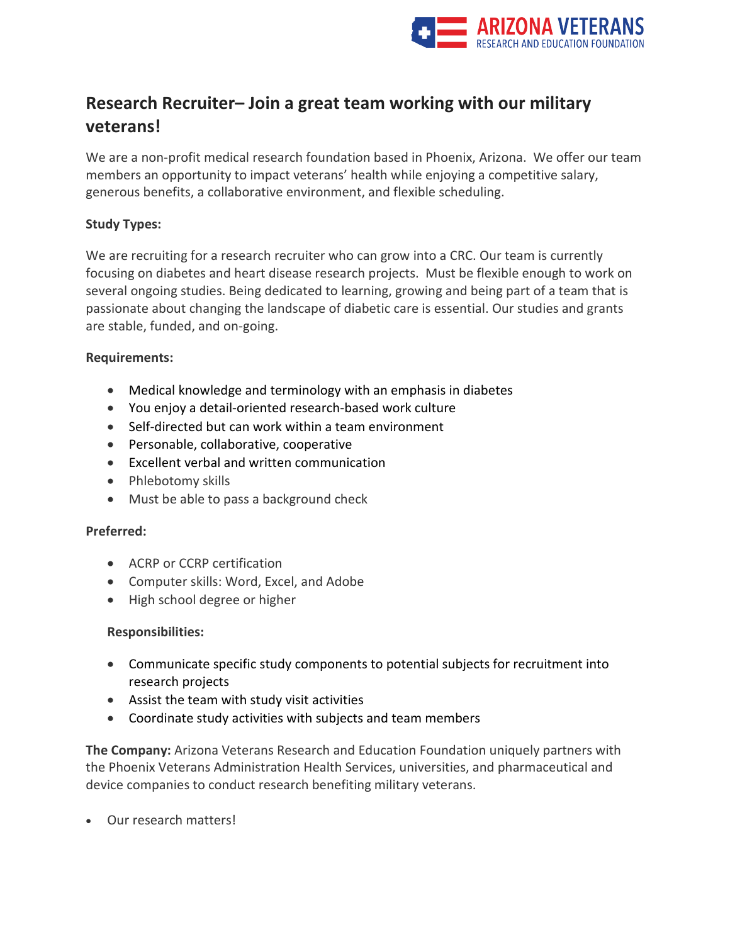

# **Research Recruiter– Join a great team working with our military veterans!**

We are a non-profit medical research foundation based in Phoenix, Arizona. We offer our team members an opportunity to impact veterans' health while enjoying a competitive salary, generous benefits, a collaborative environment, and flexible scheduling.

# **Study Types:**

We are recruiting for a research recruiter who can grow into a CRC. Our team is currently focusing on diabetes and heart disease research projects. Must be flexible enough to work on several ongoing studies. Being dedicated to learning, growing and being part of a team that is passionate about changing the landscape of diabetic care is essential. Our studies and grants are stable, funded, and on-going.

### **Requirements:**

- Medical knowledge and terminology with an emphasis in diabetes
- You enjoy a detail-oriented research-based work culture
- Self-directed but can work within a team environment
- Personable, collaborative, cooperative
- Excellent verbal and written communication
- Phlebotomy skills
- Must be able to pass a background check

# **Preferred:**

- ACRP or CCRP certification
- Computer skills: Word, Excel, and Adobe
- High school degree or higher

# **Responsibilities:**

- Communicate specific study components to potential subjects for recruitment into research projects
- Assist the team with study visit activities
- Coordinate study activities with subjects and team members

**The Company:** Arizona Veterans Research and Education Foundation uniquely partners with the Phoenix Veterans Administration Health Services, universities, and pharmaceutical and device companies to conduct research benefiting military veterans.

• Our research matters!